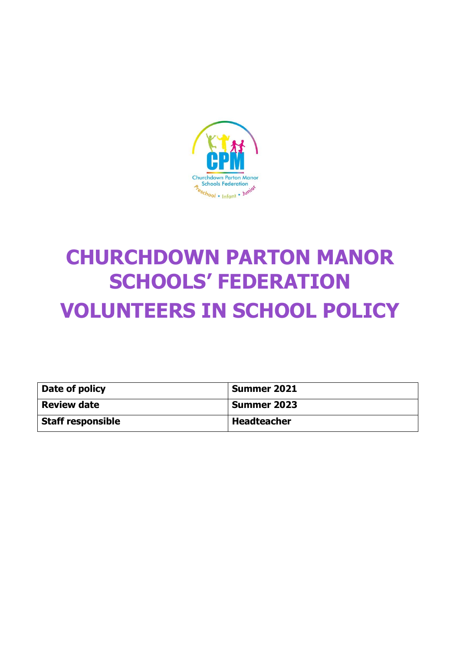

# **CHURCHDOWN PARTON MANOR SCHOOLS' FEDERATION VOLUNTEERS IN SCHOOL POLICY**

| Date of policy           | <b>Summer 2021</b> |
|--------------------------|--------------------|
| <b>Review date</b>       | <b>Summer 2023</b> |
| <b>Staff responsible</b> | <b>Headteacher</b> |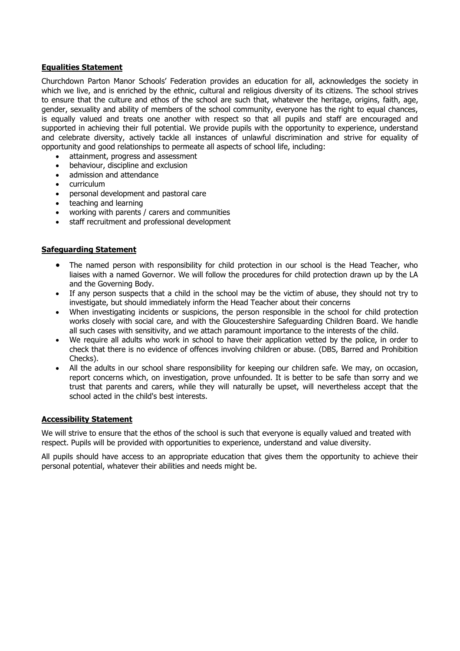#### **Equalities Statement**

Churchdown Parton Manor Schools' Federation provides an education for all, acknowledges the society in which we live, and is enriched by the ethnic, cultural and religious diversity of its citizens. The school strives to ensure that the culture and ethos of the school are such that, whatever the heritage, origins, faith, age, gender, sexuality and ability of members of the school community, everyone has the right to equal chances, is equally valued and treats one another with respect so that all pupils and staff are encouraged and supported in achieving their full potential. We provide pupils with the opportunity to experience, understand and celebrate diversity, actively tackle all instances of unlawful discrimination and strive for equality of opportunity and good relationships to permeate all aspects of school life, including:

- attainment, progress and assessment
- behaviour, discipline and exclusion
- admission and attendance
- curriculum
- personal development and pastoral care
- teaching and learning
- working with parents / carers and communities
- staff recruitment and professional development

#### **Safeguarding Statement**

- The named person with responsibility for child protection in our school is the Head Teacher, who liaises with a named Governor. We will follow the procedures for child protection drawn up by the LA and the Governing Body.
- If any person suspects that a child in the school may be the victim of abuse, they should not try to investigate, but should immediately inform the Head Teacher about their concerns
- When investigating incidents or suspicions, the person responsible in the school for child protection works closely with social care, and with the Gloucestershire Safeguarding Children Board. We handle all such cases with sensitivity, and we attach paramount importance to the interests of the child.
- We require all adults who work in school to have their application vetted by the police, in order to check that there is no evidence of offences involving children or abuse. (DBS, Barred and Prohibition Checks).
- All the adults in our school share responsibility for keeping our children safe. We may, on occasion, report concerns which, on investigation, prove unfounded. It is better to be safe than sorry and we trust that parents and carers, while they will naturally be upset, will nevertheless accept that the school acted in the child's best interests.

#### **Accessibility Statement**

We will strive to ensure that the ethos of the school is such that everyone is equally valued and treated with respect. Pupils will be provided with opportunities to experience, understand and value diversity.

All pupils should have access to an appropriate education that gives them the opportunity to achieve their personal potential, whatever their abilities and needs might be.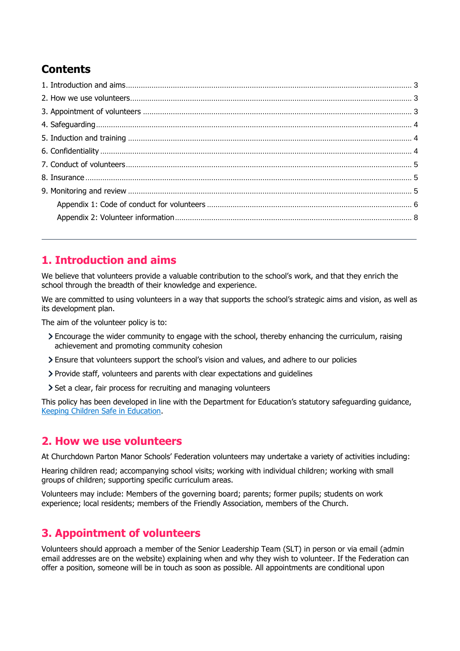# **Contents**

# <span id="page-2-0"></span>**1. Introduction and aims**

We believe that volunteers provide a valuable contribution to the school's work, and that they enrich the school through the breadth of their knowledge and experience.

We are committed to using volunteers in a way that supports the school's strategic aims and vision, as well as its development plan.

The aim of the volunteer policy is to:

- Encourage the wider community to engage with the school, thereby enhancing the curriculum, raising achievement and promoting community cohesion
- Ensure that volunteers support the school's vision and values, and adhere to our policies
- Provide staff, volunteers and parents with clear expectations and guidelines
- Set a clear, fair process for recruiting and managing volunteers

This policy has been developed in line with the Department for Education's statutory safeguarding guidance, [Keeping Children Safe in Education.](https://www.gov.uk/government/publications/keeping-children-safe-in-education--2)

# <span id="page-2-1"></span>**2. How we use volunteers**

At Churchdown Parton Manor Schools' Federation volunteers may undertake a variety of activities including:

Hearing children read; accompanying school visits; working with individual children; working with small groups of children; supporting specific curriculum areas.

Volunteers may include: Members of the governing board; parents; former pupils; students on work experience; local residents; members of the Friendly Association, members of the Church.

# <span id="page-2-2"></span>**3. Appointment of volunteers**

Volunteers should approach a member of the Senior Leadership Team (SLT) in person or via email (admin email addresses are on the website) explaining when and why they wish to volunteer. If the Federation can offer a position, someone will be in touch as soon as possible. All appointments are conditional upon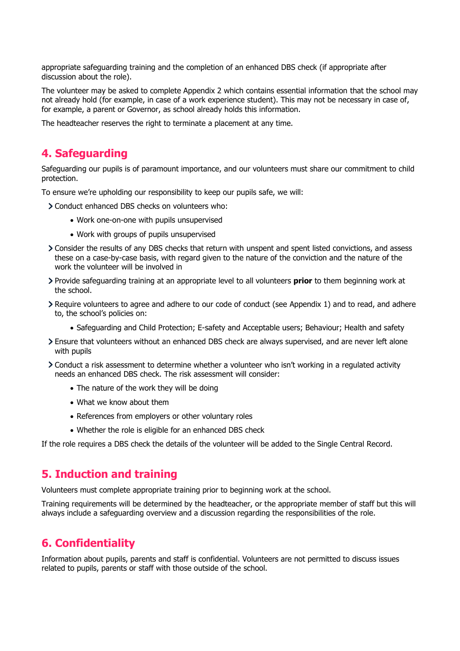appropriate safeguarding training and the completion of an enhanced DBS check (if appropriate after discussion about the role).

The volunteer may be asked to complete Appendix 2 which contains essential information that the school may not already hold (for example, in case of a work experience student). This may not be necessary in case of, for example, a parent or Governor, as school already holds this information.

The headteacher reserves the right to terminate a placement at any time.

# <span id="page-3-0"></span>**4. Safeguarding**

Safeguarding our pupils is of paramount importance, and our volunteers must share our commitment to child protection.

To ensure we're upholding our responsibility to keep our pupils safe, we will:

- Conduct enhanced DBS checks on volunteers who:
	- Work one-on-one with pupils unsupervised
	- Work with groups of pupils unsupervised
- Consider the results of any DBS checks that return with unspent and spent listed convictions, and assess these on a case-by-case basis, with regard given to the nature of the conviction and the nature of the work the volunteer will be involved in
- Provide safeguarding training at an appropriate level to all volunteers **prior** to them beginning work at the school.
- Require volunteers to agree and adhere to our code of conduct (see Appendix 1) and to read, and adhere to, the school's policies on:
	- Safeguarding and Child Protection; E-safety and Acceptable users; Behaviour; Health and safety
- Ensure that volunteers without an enhanced DBS check are always supervised, and are never left alone with pupils
- Conduct a risk assessment to determine whether a volunteer who isn't working in a regulated activity needs an enhanced DBS check. The risk assessment will consider:
	- The nature of the work they will be doing
	- What we know about them
	- References from employers or other voluntary roles
	- Whether the role is eligible for an enhanced DBS check

If the role requires a DBS check the details of the volunteer will be added to the Single Central Record.

# <span id="page-3-1"></span>**5. Induction and training**

Volunteers must complete appropriate training prior to beginning work at the school.

Training requirements will be determined by the headteacher, or the appropriate member of staff but this will always include a safeguarding overview and a discussion regarding the responsibilities of the role.

# <span id="page-3-2"></span>**6. Confidentiality**

Information about pupils, parents and staff is confidential. Volunteers are not permitted to discuss issues related to pupils, parents or staff with those outside of the school.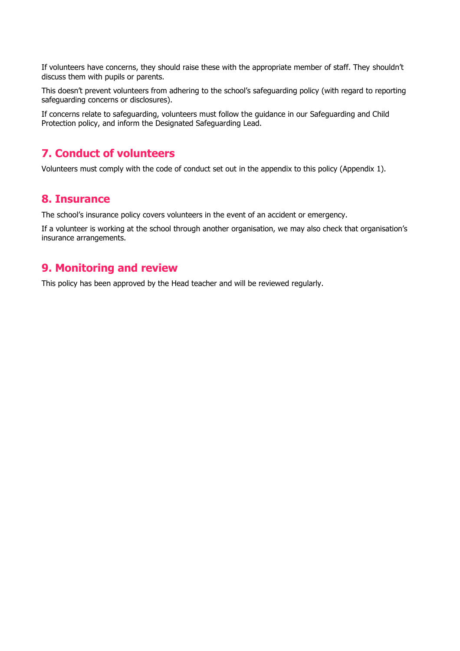If volunteers have concerns, they should raise these with the appropriate member of staff. They shouldn't discuss them with pupils or parents.

This doesn't prevent volunteers from adhering to the school's safeguarding policy (with regard to reporting safeguarding concerns or disclosures).

If concerns relate to safeguarding, volunteers must follow the guidance in our Safeguarding and Child Protection policy, and inform the Designated Safeguarding Lead.

# <span id="page-4-0"></span>**7. Conduct of volunteers**

Volunteers must comply with the code of conduct set out in the appendix to this policy (Appendix 1).

### <span id="page-4-1"></span>**8. Insurance**

The school's insurance policy covers volunteers in the event of an accident or emergency.

If a volunteer is working at the school through another organisation, we may also check that organisation's insurance arrangements.

## <span id="page-4-2"></span>**9. Monitoring and review**

This policy has been approved by the Head teacher and will be reviewed regularly.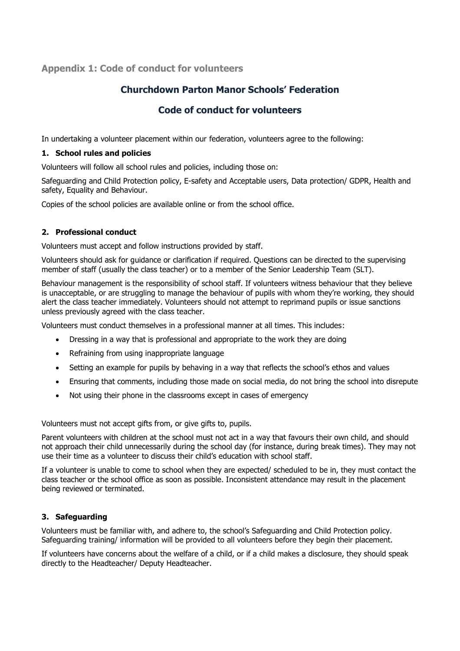#### <span id="page-5-0"></span>**Appendix 1: Code of conduct for volunteers**

## **Churchdown Parton Manor Schools' Federation**

#### **Code of conduct for volunteers**

In undertaking a volunteer placement within our federation, volunteers agree to the following:

#### **1. School rules and policies**

Volunteers will follow all school rules and policies, including those on:

Safeguarding and Child Protection policy, E-safety and Acceptable users, Data protection/ GDPR, Health and safety, Equality and Behaviour.

Copies of the school policies are available online or from the school office.

#### **2. Professional conduct**

Volunteers must accept and follow instructions provided by staff.

Volunteers should ask for guidance or clarification if required. Questions can be directed to the supervising member of staff (usually the class teacher) or to a member of the Senior Leadership Team (SLT).

Behaviour management is the responsibility of school staff. If volunteers witness behaviour that they believe is unacceptable, or are struggling to manage the behaviour of pupils with whom they're working, they should alert the class teacher immediately. Volunteers should not attempt to reprimand pupils or issue sanctions unless previously agreed with the class teacher.

Volunteers must conduct themselves in a professional manner at all times. This includes:

- Dressing in a way that is professional and appropriate to the work they are doing
- Refraining from using inappropriate language
- Setting an example for pupils by behaving in a way that reflects the school's ethos and values
- Ensuring that comments, including those made on social media, do not bring the school into disrepute
- Not using their phone in the classrooms except in cases of emergency

Volunteers must not accept gifts from, or give gifts to, pupils.

Parent volunteers with children at the school must not act in a way that favours their own child, and should not approach their child unnecessarily during the school day (for instance, during break times). They may not use their time as a volunteer to discuss their child's education with school staff.

If a volunteer is unable to come to school when they are expected/ scheduled to be in, they must contact the class teacher or the school office as soon as possible. Inconsistent attendance may result in the placement being reviewed or terminated.

#### **3. Safeguarding**

Volunteers must be familiar with, and adhere to, the school's Safeguarding and Child Protection policy. Safeguarding training/ information will be provided to all volunteers before they begin their placement.

If volunteers have concerns about the welfare of a child, or if a child makes a disclosure, they should speak directly to the Headteacher/ Deputy Headteacher.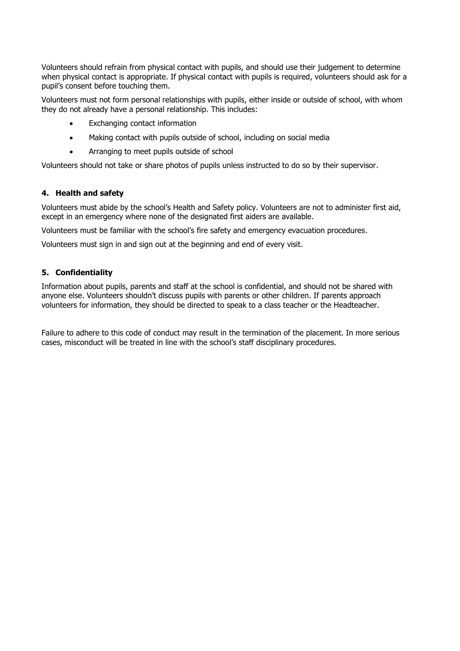Volunteers should refrain from physical contact with pupils, and should use their judgement to determine when physical contact is appropriate. If physical contact with pupils is required, volunteers should ask for a pupil's consent before touching them.

Volunteers must not form personal relationships with pupils, either inside or outside of school, with whom they do not already have a personal relationship. This includes:

- Exchanging contact information
- Making contact with pupils outside of school, including on social media
- Arranging to meet pupils outside of school

Volunteers should not take or share photos of pupils unless instructed to do so by their supervisor.

#### **4. Health and safety**

Volunteers must abide by the school's Health and Safety policy. Volunteers are not to administer first aid, except in an emergency where none of the designated first aiders are available.

Volunteers must be familiar with the school's fire safety and emergency evacuation procedures.

Volunteers must sign in and sign out at the beginning and end of every visit.

#### **5. Confidentiality**

Information about pupils, parents and staff at the school is confidential, and should not be shared with anyone else. Volunteers shouldn't discuss pupils with parents or other children. If parents approach volunteers for information, they should be directed to speak to a class teacher or the Headteacher.

Failure to adhere to this code of conduct may result in the termination of the placement. In more serious cases, misconduct will be treated in line with the school's staff disciplinary procedures.